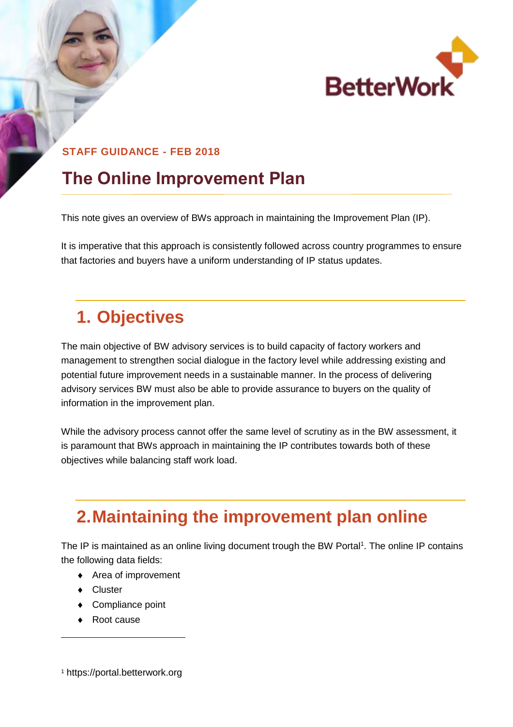

#### **STAFF GUIDANCE - FEB 2018**

## **The Online Improvement Plan**

This note gives an overview of BWs approach in maintaining the Improvement Plan (IP).

It is imperative that this approach is consistently followed across country programmes to ensure that factories and buyers have a uniform understanding of IP status updates.

## **1. Objectives**

The main objective of BW advisory services is to build capacity of factory workers and management to strengthen social dialogue in the factory level while addressing existing and potential future improvement needs in a sustainable manner. In the process of delivering advisory services BW must also be able to provide assurance to buyers on the quality of information in the improvement plan.

While the advisory process cannot offer the same level of scrutiny as in the BW assessment, it is paramount that BWs approach in maintaining the IP contributes towards both of these objectives while balancing staff work load.

# **2.Maintaining the improvement plan online**

The IP is maintained as an online living document trough the BW Portal<sup>1</sup>. The online IP contains the following data fields:

- ◆ Area of improvement
- ◆ Cluster

l

- ◆ Compliance point
- ◆ Root cause

<sup>1</sup> [https://portal.betterwork.org](https://portal.betterwork.org/)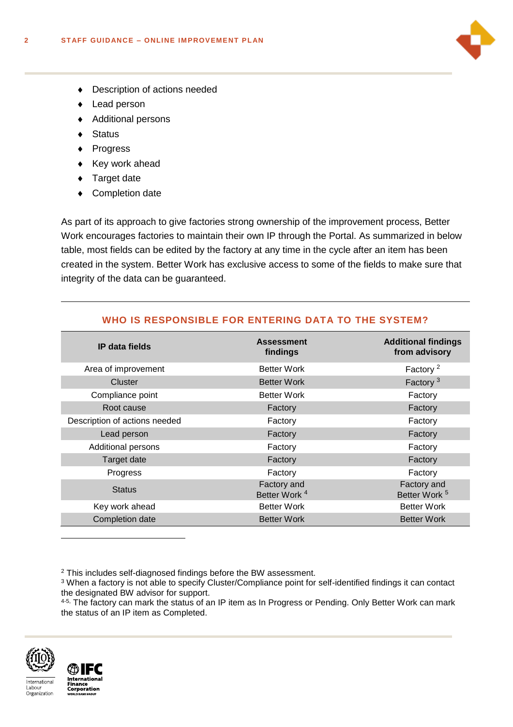

- Description of actions needed
- ◆ Lead person
- ◆ Additional persons
- ◆ Status
- ◆ Progress
- $\bullet$  Key work ahead
- ◆ Target date
- Completion date

As part of its approach to give factories strong ownership of the improvement process, Better Work encourages factories to maintain their own IP through the Portal. As summarized in below table, most fields can be edited by the factory at any time in the cycle after an item has been created in the system. Better Work has exclusive access to some of the fields to make sure that integrity of the data can be guaranteed.

### **WHO IS RESPONSIBLE FOR ENTERING DATA TO THE SYSTEM?**

| <b>IP</b> data fields         | <b>Assessment</b><br>findings           | <b>Additional findings</b><br>from advisory |
|-------------------------------|-----------------------------------------|---------------------------------------------|
| Area of improvement           | <b>Better Work</b>                      | Factory <sup>2</sup>                        |
| Cluster                       | <b>Better Work</b>                      | Factory <sup>3</sup>                        |
| Compliance point              | <b>Better Work</b>                      | Factory                                     |
| Root cause                    | Factory                                 | Factory                                     |
| Description of actions needed | Factory                                 | Factory                                     |
| Lead person                   | Factory                                 | Factory                                     |
| <b>Additional persons</b>     | Factory                                 | Factory                                     |
| Target date                   | Factory                                 | Factory                                     |
| Progress                      | Factory                                 | Factory                                     |
| <b>Status</b>                 | Factory and<br>Better Work <sup>4</sup> | Factory and<br>Better Work <sup>5</sup>     |
| Key work ahead                | <b>Better Work</b>                      | <b>Better Work</b>                          |
| Completion date               | <b>Better Work</b>                      | <b>Better Work</b>                          |

<sup>4-5,</sup> The factory can mark the status of an IP item as In Progress or Pending. Only Better Work can mark the status of an IP item as Completed.





-

<sup>2</sup> This includes self-diagnosed findings before the BW assessment.

<sup>&</sup>lt;sup>3</sup> When a factory is not able to specify Cluster/Compliance point for self-identified findings it can contact the designated BW advisor for support.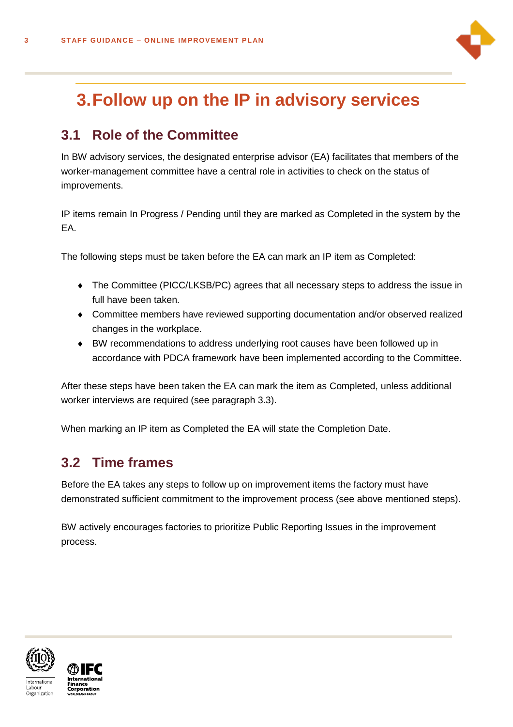

## **3.Follow up on the IP in advisory services**

## **3.1 Role of the Committee**

In BW advisory services, the designated enterprise advisor (EA) facilitates that members of the worker-management committee have a central role in activities to check on the status of improvements.

IP items remain In Progress / Pending until they are marked as Completed in the system by the EA.

The following steps must be taken before the EA can mark an IP item as Completed:

- The Committee (PICC/LKSB/PC) agrees that all necessary steps to address the issue in full have been taken.
- Committee members have reviewed supporting documentation and/or observed realized changes in the workplace.
- BW recommendations to address underlying root causes have been followed up in accordance with PDCA framework have been implemented according to the Committee.

After these steps have been taken the EA can mark the item as Completed, unless additional worker interviews are required (see paragraph 3.3).

When marking an IP item as Completed the EA will state the Completion Date.

### **3.2 Time frames**

Before the EA takes any steps to follow up on improvement items the factory must have demonstrated sufficient commitment to the improvement process (see above mentioned steps).

BW actively encourages factories to prioritize Public Reporting Issues in the improvement process.



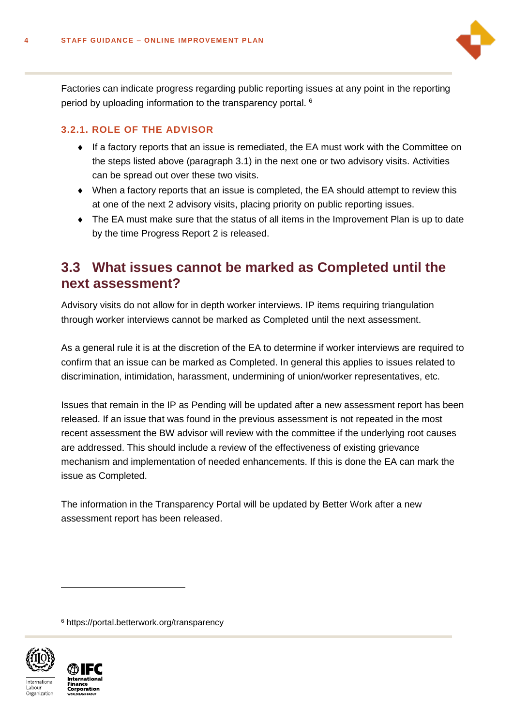

Factories can indicate progress regarding public reporting issues at any point in the reporting period by uploading information to the transparency portal. <sup>6</sup>

#### **3.2.1. ROLE OF THE ADVISOR**

- $\bullet$  If a factory reports that an issue is remediated, the EA must work with the Committee on the steps listed above (paragraph 3.1) in the next one or two advisory visits. Activities can be spread out over these two visits.
- When a factory reports that an issue is completed, the EA should attempt to review this at one of the next 2 advisory visits, placing priority on public reporting issues.
- The EA must make sure that the status of all items in the Improvement Plan is up to date by the time Progress Report 2 is released.

### **3.3 What issues cannot be marked as Completed until the next assessment?**

Advisory visits do not allow for in depth worker interviews. IP items requiring triangulation through worker interviews cannot be marked as Completed until the next assessment.

As a general rule it is at the discretion of the EA to determine if worker interviews are required to confirm that an issue can be marked as Completed. In general this applies to issues related to discrimination, intimidation, harassment, undermining of union/worker representatives, etc.

Issues that remain in the IP as Pending will be updated after a new assessment report has been released. If an issue that was found in the previous assessment is not repeated in the most recent assessment the BW advisor will review with the committee if the underlying root causes are addressed. This should include a review of the effectiveness of existing grievance mechanism and implementation of needed enhancements. If this is done the EA can mark the issue as Completed.

The information in the Transparency Portal will be updated by Better Work after a new assessment report has been released.

<sup>6</sup> https://portal.betterwork.org/transparency



l